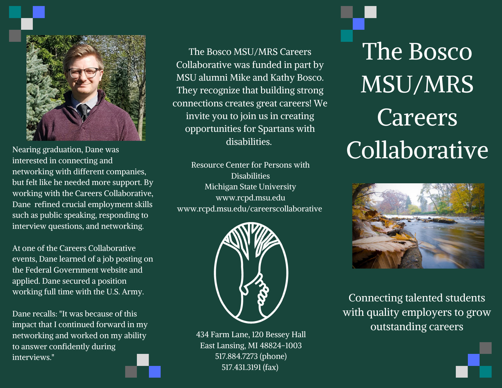

Nearing graduation, Dane was interested in connecting and networking with different companies, but felt like he needed more support. By working with the Careers Collaborative, Dane refined crucial employment skills such as public speaking, responding to interview questions, and networking.

At one of the Careers Collaborative events, Dane learned of a job posting on the Federal Government website and applied. Dane secured a position working full time with the U.S. Army.

Dane recalls: "It was because of this impact that I continued forward in my networking and worked on my ability to answer confidently during interviews."

The Bosco MSU/MRS Careers Collaborative was funded in part by MSU alumni Mike and Kathy Bosco. They recognize that building strong connections creates great careers! We invite you to join us in creating opportunities for Spartans with disabilities.

Resource Center for Persons with **Disabilities** Michigan State University www.rcpd.msu.edu www.rcpd.msu.edu/careerscollaborative



434 Farm Lane, 120 Bessey Hall East Lansing, MI 48824-1003 517.884.7273 (phone) 517.431.3191 (fax)

The Bosco MSU/MRS Careers Collaborative



Connecting talented students with quality employers to grow outstanding careers